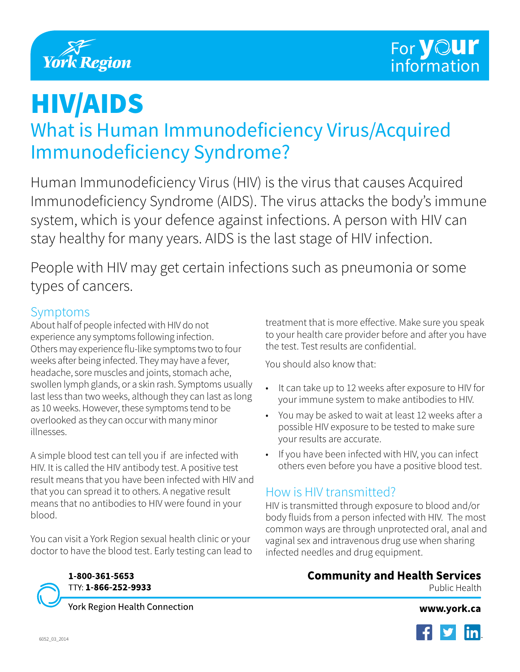

# HIV/AIDS

# What is Human Immunodeficiency Virus/Acquired Immunodeficiency Syndrome?

Human Immunodeficiency Virus (HIV) is the virus that causes Acquired Immunodeficiency Syndrome (AIDS). The virus attacks the body's immune system, which is your defence against infections. A person with HIV can stay healthy for many years. AIDS is the last stage of HIV infection.

People with HIV may get certain infections such as pneumonia or some types of cancers.

#### Symptoms

About half of people infected with HIV do not experience any symptoms following infection. Others may experience flu-like symptoms two to four weeks after being infected. They may have a fever, headache, sore muscles and joints, stomach ache, swollen lymph glands, or a skin rash. Symptoms usually last less than two weeks, although they can last as long as 10 weeks. However, these symptoms tend to be overlooked as they can occur with many minor illnesses.

A simple blood test can tell you if are infected with HIV. It is called the HIV antibody test. A positive test result means that you have been infected with HIV and that you can spread it to others. A negative result means that no antibodies to HIV were found in your blood.

You can visit a York Region sexual health clinic or your doctor to have the blood test. Early testing can lead to



TTY: 1-866-252-9933

York Region Health Connection

treatment that is more effective. Make sure you speak to your health care provider before and after you have the test. Test results are confidential.

You should also know that:

- It can take up to 12 weeks after exposure to HIV for your immune system to make antibodies to HIV.
- You may be asked to wait at least 12 weeks after a possible HIV exposure to be tested to make sure your results are accurate.
- If you have been infected with HIV, you can infect others even before you have a positive blood test.

## How is HIV transmitted?

HIV is transmitted through exposure to blood and/or body fluids from a person infected with HIV. The most common ways are through unprotected oral, anal and vaginal sex and intravenous drug use when sharing infected needles and drug equipment.

#### **Community and Health Services**

Public Health

www.york.ca